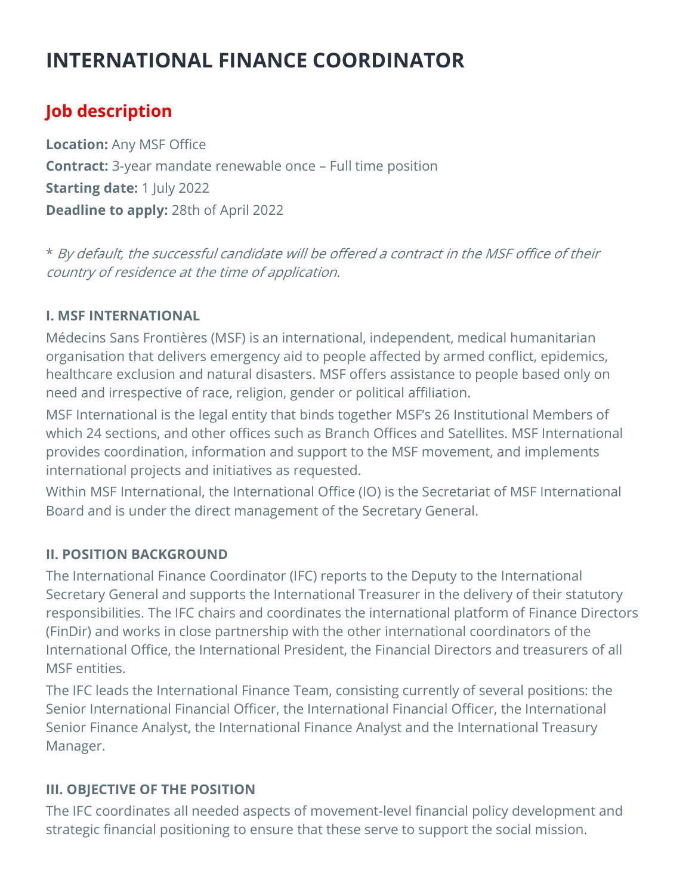# INTERNATIONAL FINANCE COORDINATOR

# Job description

Location: Any MSF Office **Contract:** 3-year mandate renewable once – Full time position Starting date: 1 July 2022 Deadline to apply: 28th of April 2022

\* By default, the successful candidate will be offered a contract in the MSF office of their country of residence at the time of application.

#### I. MSF INTERNATIONAL

Médecins Sans Frontières (MSF) is an international, independent, medical humanitarian organisation that delivers emergency aid to people affected by armed conflict, epidemics, healthcare exclusion and natural disasters. MSF offers assistance to people based only on need and irrespective of race, religion, gender or political affiliation.

MSF International is the legal entity that binds together MSF's 26 Institutional Members of which 24 sections, and other offices such as Branch Offices and Satellites. MSF International provides coordination, information and support to the MSF movement, and implements international projects and initiatives as requested.

Within MSF International, the International Office (IO) is the Secretariat of MSF International Board and is under the direct management of the Secretary General.

# II. POSITION BACKGROUND

The International Finance Coordinator (IFC) reports to the Deputy to the International Secretary General and supports the International Treasurer in the delivery of their statutory responsibilities. The IFC chairs and coordinates the international platform of Finance Directors (FinDir) and works in close partnership with the other international coordinators of the International Office, the International President, the Financial Directors and treasurers of all MSF entities.

The IFC leads the International Finance Team, consisting currently of several positions: the Senior International Financial Officer, the International Financial Officer, the International Senior Finance Analyst, the International Finance Analyst and the International Treasury Manager.

# III. OBJECTIVE OF THE POSITION

The IFC coordinates all needed aspects of movement-level financial policy development and strategic financial positioning to ensure that these serve to support the social mission.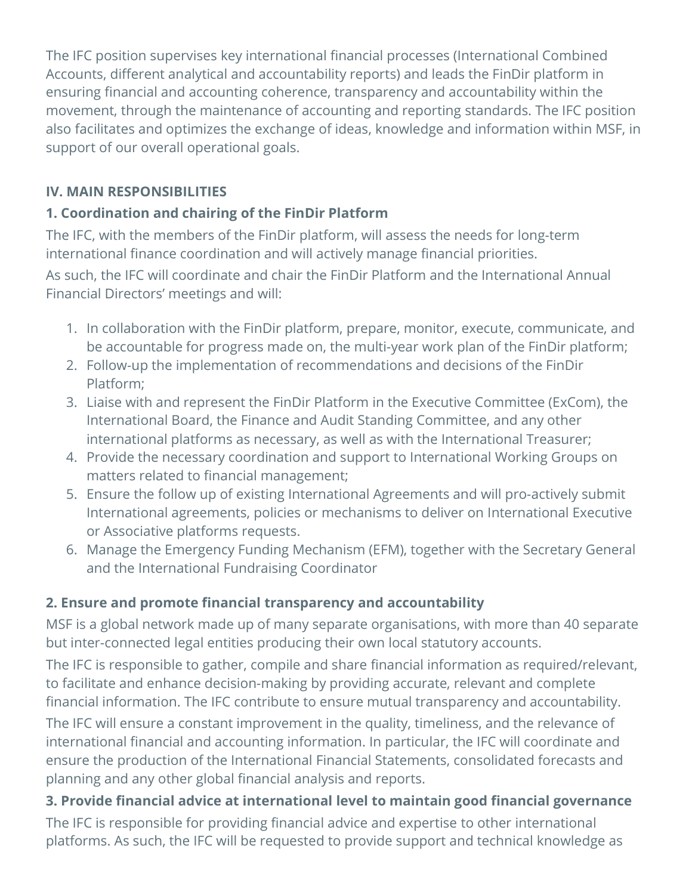The IFC position supervises key international financial processes (International Combined Accounts, different analytical and accountability reports) and leads the FinDir platform in ensuring financial and accounting coherence, transparency and accountability within the movement, through the maintenance of accounting and reporting standards. The IFC position also facilitates and optimizes the exchange of ideas, knowledge and information within MSF, in support of our overall operational goals.

# IV. MAIN RESPONSIBILITIES

# 1. Coordination and chairing of the FinDir Platform

The IFC, with the members of the FinDir platform, will assess the needs for long-term international finance coordination and will actively manage financial priorities.

As such, the IFC will coordinate and chair the FinDir Platform and the International Annual Financial Directors' meetings and will:

- 1. In collaboration with the FinDir platform, prepare, monitor, execute, communicate, and be accountable for progress made on, the multi-year work plan of the FinDir platform;
- 2. Follow-up the implementation of recommendations and decisions of the FinDir Platform;
- 3. Liaise with and represent the FinDir Platform in the Executive Committee (ExCom), the International Board, the Finance and Audit Standing Committee, and any other international platforms as necessary, as well as with the International Treasurer;
- 4. Provide the necessary coordination and support to International Working Groups on matters related to financial management;
- 5. Ensure the follow up of existing International Agreements and will pro-actively submit International agreements, policies or mechanisms to deliver on International Executive or Associative platforms requests.
- 6. Manage the Emergency Funding Mechanism (EFM), together with the Secretary General and the International Fundraising Coordinator

# 2. Ensure and promote financial transparency and accountability

MSF is a global network made up of many separate organisations, with more than 40 separate but inter-connected legal entities producing their own local statutory accounts.

The IFC is responsible to gather, compile and share financial information as required/relevant, to facilitate and enhance decision-making by providing accurate, relevant and complete financial information. The IFC contribute to ensure mutual transparency and accountability.

The IFC will ensure a constant improvement in the quality, timeliness, and the relevance of international financial and accounting information. In particular, the IFC will coordinate and ensure the production of the International Financial Statements, consolidated forecasts and planning and any other global financial analysis and reports.

3. Provide financial advice at international level to maintain good financial governance The IFC is responsible for providing financial advice and expertise to other international platforms. As such, the IFC will be requested to provide support and technical knowledge as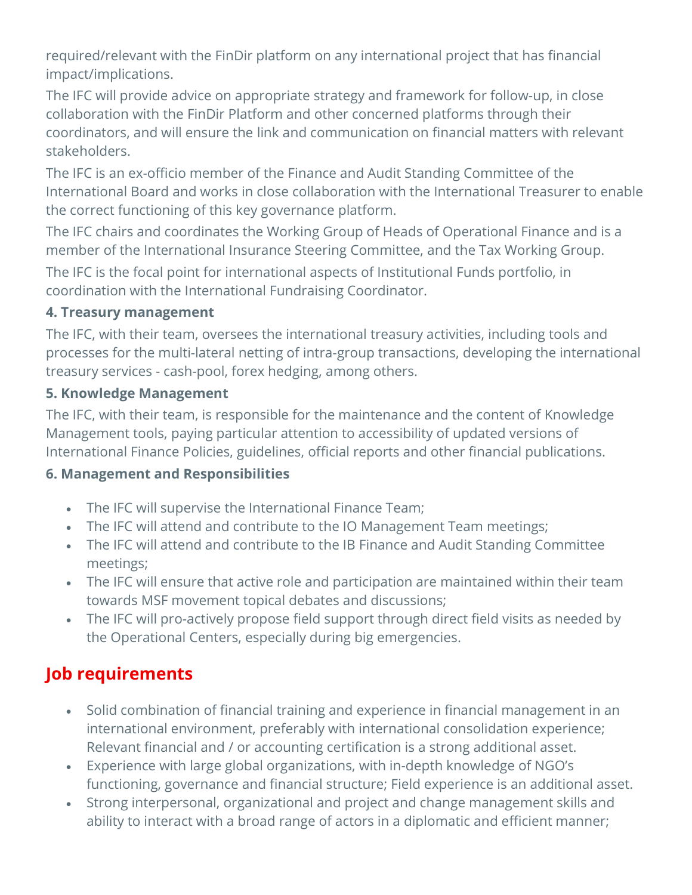required/relevant with the FinDir platform on any international project that has financial impact/implications.

The IFC will provide advice on appropriate strategy and framework for follow-up, in close collaboration with the FinDir Platform and other concerned platforms through their coordinators, and will ensure the link and communication on financial matters with relevant stakeholders.

The IFC is an ex-officio member of the Finance and Audit Standing Committee of the International Board and works in close collaboration with the International Treasurer to enable the correct functioning of this key governance platform.

The IFC chairs and coordinates the Working Group of Heads of Operational Finance and is a member of the International Insurance Steering Committee, and the Tax Working Group.

The IFC is the focal point for international aspects of Institutional Funds portfolio, in coordination with the International Fundraising Coordinator.

# 4. Treasury management

The IFC, with their team, oversees the international treasury activities, including tools and processes for the multi-lateral netting of intra-group transactions, developing the international treasury services - cash-pool, forex hedging, among others.

#### 5. Knowledge Management

The IFC, with their team, is responsible for the maintenance and the content of Knowledge Management tools, paying particular attention to accessibility of updated versions of International Finance Policies, guidelines, official reports and other financial publications.

# 6. Management and Responsibilities

- The IFC will supervise the International Finance Team;
- The IFC will attend and contribute to the IO Management Team meetings;
- The IFC will attend and contribute to the IB Finance and Audit Standing Committee meetings;
- The IFC will ensure that active role and participation are maintained within their team towards MSF movement topical debates and discussions;
- The IFC will pro-actively propose field support through direct field visits as needed by the Operational Centers, especially during big emergencies.

# Job requirements

- Solid combination of financial training and experience in financial management in an international environment, preferably with international consolidation experience; Relevant financial and / or accounting certification is a strong additional asset.
- Experience with large global organizations, with in-depth knowledge of NGO's functioning, governance and financial structure; Field experience is an additional asset.
- Strong interpersonal, organizational and project and change management skills and ability to interact with a broad range of actors in a diplomatic and efficient manner;